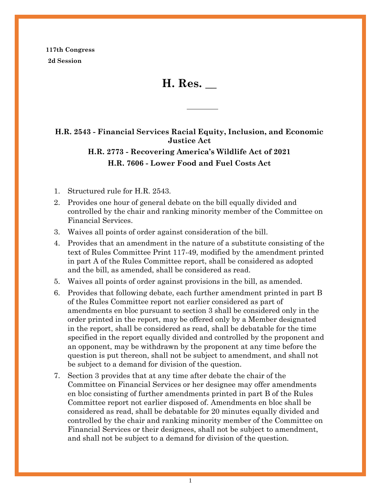**117th Congress 2d Session**

**H. Res. \_\_**

**H.R. 2543 - Financial Services Racial Equity, Inclusion, and Economic Justice Act**

# **H.R. 2773 - Recovering America's Wildlife Act of 2021 H.R. 7606 - Lower Food and Fuel Costs Act**

- 1. Structured rule for H.R. 2543.
- 2. Provides one hour of general debate on the bill equally divided and controlled by the chair and ranking minority member of the Committee on Financial Services.
- 3. Waives all points of order against consideration of the bill.
- 4. Provides that an amendment in the nature of a substitute consisting of the text of Rules Committee Print 117-49, modified by the amendment printed in part A of the Rules Committee report, shall be considered as adopted and the bill, as amended, shall be considered as read.
- 5. Waives all points of order against provisions in the bill, as amended.
- 6. Provides that following debate, each further amendment printed in part B of the Rules Committee report not earlier considered as part of amendments en bloc pursuant to section 3 shall be considered only in the order printed in the report, may be offered only by a Member designated in the report, shall be considered as read, shall be debatable for the time specified in the report equally divided and controlled by the proponent and an opponent, may be withdrawn by the proponent at any time before the question is put thereon, shall not be subject to amendment, and shall not be subject to a demand for division of the question.
- 7. Section 3 provides that at any time after debate the chair of the Committee on Financial Services or her designee may offer amendments en bloc consisting of further amendments printed in part B of the Rules Committee report not earlier disposed of. Amendments en bloc shall be considered as read, shall be debatable for 20 minutes equally divided and controlled by the chair and ranking minority member of the Committee on Financial Services or their designees, shall not be subject to amendment, and shall not be subject to a demand for division of the question.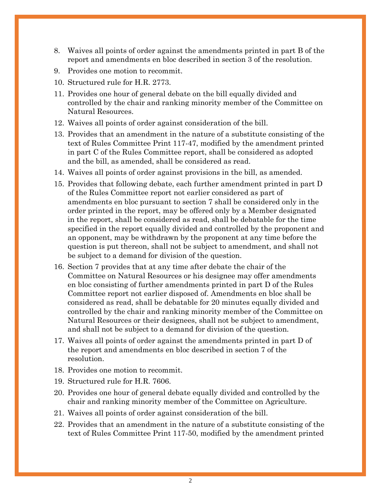- 8. Waives all points of order against the amendments printed in part B of the report and amendments en bloc described in section 3 of the resolution.
- 9. Provides one motion to recommit.
- 10. Structured rule for H.R. 2773.
- 11. Provides one hour of general debate on the bill equally divided and controlled by the chair and ranking minority member of the Committee on Natural Resources.
- 12. Waives all points of order against consideration of the bill.
- 13. Provides that an amendment in the nature of a substitute consisting of the text of Rules Committee Print 117-47, modified by the amendment printed in part C of the Rules Committee report, shall be considered as adopted and the bill, as amended, shall be considered as read.
- 14. Waives all points of order against provisions in the bill, as amended.
- 15. Provides that following debate, each further amendment printed in part D of the Rules Committee report not earlier considered as part of amendments en bloc pursuant to section 7 shall be considered only in the order printed in the report, may be offered only by a Member designated in the report, shall be considered as read, shall be debatable for the time specified in the report equally divided and controlled by the proponent and an opponent, may be withdrawn by the proponent at any time before the question is put thereon, shall not be subject to amendment, and shall not be subject to a demand for division of the question.
- 16. Section 7 provides that at any time after debate the chair of the Committee on Natural Resources or his designee may offer amendments en bloc consisting of further amendments printed in part D of the Rules Committee report not earlier disposed of. Amendments en bloc shall be considered as read, shall be debatable for 20 minutes equally divided and controlled by the chair and ranking minority member of the Committee on Natural Resources or their designees, shall not be subject to amendment, and shall not be subject to a demand for division of the question.
- 17. Waives all points of order against the amendments printed in part D of the report and amendments en bloc described in section 7 of the resolution.
- 18. Provides one motion to recommit.
- 19. Structured rule for H.R. 7606.
- 20. Provides one hour of general debate equally divided and controlled by the chair and ranking minority member of the Committee on Agriculture.
- 21. Waives all points of order against consideration of the bill.
- 22. Provides that an amendment in the nature of a substitute consisting of the text of Rules Committee Print 117-50, modified by the amendment printed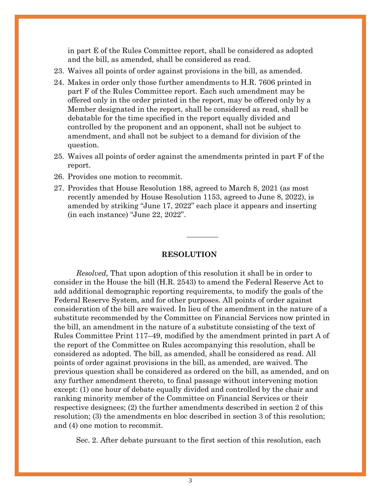in part E of the Rules Committee report, shall be considered as adopted and the bill, as amended, shall be considered as read.

- 23. Waives all points of order against provisions in the bill, as amended.
- 24. Makes in order only those further amendments to H.R. 7606 printed in part F of the Rules Committee report. Each such amendment may be offered only in the order printed in the report, may be offered only by a Member designated in the report, shall be considered as read, shall be debatable for the time specified in the report equally divided and controlled by the proponent and an opponent, shall not be subject to amendment, and shall not be subject to a demand for division of the question.
- 25. Waives all points of order against the amendments printed in part F of the report.
- 26. Provides one motion to recommit.
- 27. Provides that House Resolution 188, agreed to March 8, 2021 (as most recently amended by House Resolution 1153, agreed to June 8, 2022), is amended by striking "June 17, 2022" each place it appears and inserting (in each instance) "June 22, 2022".

#### **RESOLUTION**

*Resolved,* That upon adoption of this resolution it shall be in order to consider in the House the bill (H.R. 2543) to amend the Federal Reserve Act to add additional demographic reporting requirements, to modify the goals of the Federal Reserve System, and for other purposes. All points of order against consideration of the bill are waived. In lieu of the amendment in the nature of a substitute recommended by the Committee on Financial Services now printed in the bill, an amendment in the nature of a substitute consisting of the text of Rules Committee Print 117–49, modified by the amendment printed in part A of the report of the Committee on Rules accompanying this resolution, shall be considered as adopted. The bill, as amended, shall be considered as read. All points of order against provisions in the bill, as amended, are waived. The previous question shall be considered as ordered on the bill, as amended, and on any further amendment thereto, to final passage without intervening motion except: (1) one hour of debate equally divided and controlled by the chair and ranking minority member of the Committee on Financial Services or their respective designees; (2) the further amendments described in section 2 of this resolution; (3) the amendments en bloc described in section 3 of this resolution; and (4) one motion to recommit.

Sec. 2. After debate pursuant to the first section of this resolution, each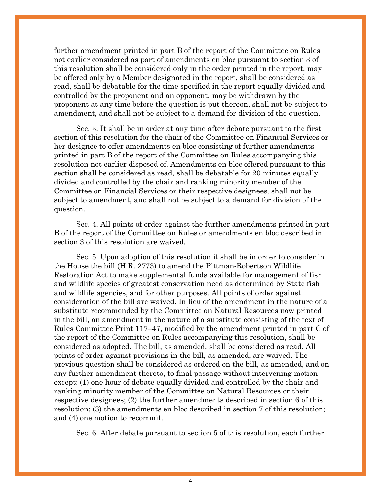further amendment printed in part B of the report of the Committee on Rules not earlier considered as part of amendments en bloc pursuant to section 3 of this resolution shall be considered only in the order printed in the report, may be offered only by a Member designated in the report, shall be considered as read, shall be debatable for the time specified in the report equally divided and controlled by the proponent and an opponent, may be withdrawn by the proponent at any time before the question is put thereon, shall not be subject to amendment, and shall not be subject to a demand for division of the question.

Sec. 3. It shall be in order at any time after debate pursuant to the first section of this resolution for the chair of the Committee on Financial Services or her designee to offer amendments en bloc consisting of further amendments printed in part B of the report of the Committee on Rules accompanying this resolution not earlier disposed of. Amendments en bloc offered pursuant to this section shall be considered as read, shall be debatable for 20 minutes equally divided and controlled by the chair and ranking minority member of the Committee on Financial Services or their respective designees, shall not be subject to amendment, and shall not be subject to a demand for division of the question.

Sec. 4. All points of order against the further amendments printed in part B of the report of the Committee on Rules or amendments en bloc described in section 3 of this resolution are waived.

Sec. 5. Upon adoption of this resolution it shall be in order to consider in the House the bill (H.R. 2773) to amend the Pittman-Robertson Wildlife Restoration Act to make supplemental funds available for management of fish and wildlife species of greatest conservation need as determined by State fish and wildlife agencies, and for other purposes. All points of order against consideration of the bill are waived. In lieu of the amendment in the nature of a substitute recommended by the Committee on Natural Resources now printed in the bill, an amendment in the nature of a substitute consisting of the text of Rules Committee Print 117–47, modified by the amendment printed in part C of the report of the Committee on Rules accompanying this resolution, shall be considered as adopted. The bill, as amended, shall be considered as read. All points of order against provisions in the bill, as amended, are waived. The previous question shall be considered as ordered on the bill, as amended, and on any further amendment thereto, to final passage without intervening motion except: (1) one hour of debate equally divided and controlled by the chair and ranking minority member of the Committee on Natural Resources or their respective designees; (2) the further amendments described in section 6 of this resolution; (3) the amendments en bloc described in section 7 of this resolution; and (4) one motion to recommit.

Sec. 6. After debate pursuant to section 5 of this resolution, each further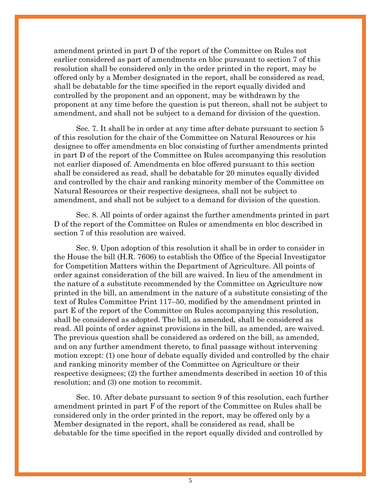amendment printed in part D of the report of the Committee on Rules not earlier considered as part of amendments en bloc pursuant to section 7 of this resolution shall be considered only in the order printed in the report, may be offered only by a Member designated in the report, shall be considered as read, shall be debatable for the time specified in the report equally divided and controlled by the proponent and an opponent, may be withdrawn by the proponent at any time before the question is put thereon, shall not be subject to amendment, and shall not be subject to a demand for division of the question.

Sec. 7. It shall be in order at any time after debate pursuant to section 5 of this resolution for the chair of the Committee on Natural Resources or his designee to offer amendments en bloc consisting of further amendments printed in part D of the report of the Committee on Rules accompanying this resolution not earlier disposed of. Amendments en bloc offered pursuant to this section shall be considered as read, shall be debatable for 20 minutes equally divided and controlled by the chair and ranking minority member of the Committee on Natural Resources or their respective designees, shall not be subject to amendment, and shall not be subject to a demand for division of the question.

Sec. 8. All points of order against the further amendments printed in part D of the report of the Committee on Rules or amendments en bloc described in section 7 of this resolution are waived.

Sec. 9. Upon adoption of this resolution it shall be in order to consider in the House the bill (H.R. 7606) to establish the Office of the Special Investigator for Competition Matters within the Department of Agriculture. All points of order against consideration of the bill are waived. In lieu of the amendment in the nature of a substitute recommended by the Committee on Agriculture now printed in the bill, an amendment in the nature of a substitute consisting of the text of Rules Committee Print 117–50, modified by the amendment printed in part E of the report of the Committee on Rules accompanying this resolution, shall be considered as adopted. The bill, as amended, shall be considered as read. All points of order against provisions in the bill, as amended, are waived. The previous question shall be considered as ordered on the bill, as amended, and on any further amendment thereto, to final passage without intervening motion except: (1) one hour of debate equally divided and controlled by the chair and ranking minority member of the Committee on Agriculture or their respective designees; (2) the further amendments described in section 10 of this resolution; and (3) one motion to recommit.

Sec. 10. After debate pursuant to section 9 of this resolution, each further amendment printed in part F of the report of the Committee on Rules shall be considered only in the order printed in the report, may be offered only by a Member designated in the report, shall be considered as read, shall be debatable for the time specified in the report equally divided and controlled by

5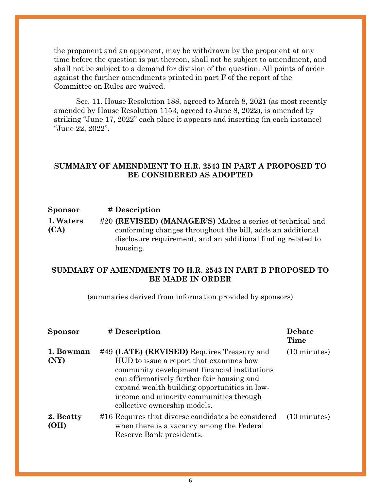the proponent and an opponent, may be withdrawn by the proponent at any time before the question is put thereon, shall not be subject to amendment, and shall not be subject to a demand for division of the question. All points of order against the further amendments printed in part F of the report of the Committee on Rules are waived.

Sec. 11. House Resolution 188, agreed to March 8, 2021 (as most recently amended by House Resolution 1153, agreed to June 8, 2022), is amended by striking "June 17, 2022" each place it appears and inserting (in each instance) "June 22, 2022".

#### **SUMMARY OF AMENDMENT TO H.R. 2543 IN PART A PROPOSED TO BE CONSIDERED AS ADOPTED**

#### **Sponsor # Description**

**[1. Waters](https://amendments-rules.house.gov/amendments/MA_01_xml%206.13.22220613124226531.pdf)  [\(CA\)](https://amendments-rules.house.gov/amendments/MA_01_xml%206.13.22220613124226531.pdf)** #20 **(REVISED) (MANAGER'S)** Makes a series of technical and conforming changes throughout the bill, adds an additional disclosure requirement, and an additional finding related to housing.

### **SUMMARY OF AMENDMENTS TO H.R. 2543 IN PART B PROPOSED TO BE MADE IN ORDER**

(summaries derived from information provided by sponsors)

| <b>Sponsor</b>    | # Description                                                                                                                                                                                                                                                                                                  | Debate<br>Time         |
|-------------------|----------------------------------------------------------------------------------------------------------------------------------------------------------------------------------------------------------------------------------------------------------------------------------------------------------------|------------------------|
| 1. Bowman<br>(NY) | #49 (LATE) (REVISED) Requires Treasury and<br>HUD to issue a report that examines how<br>community development financial institutions<br>can affirmatively further fair housing and<br>expand wealth building opportunities in low-<br>income and minority communities through<br>collective ownership models. | $(10 \text{ minutes})$ |
| 2. Beatty<br>(OH) | #16 Requires that diverse candidates be considered<br>when there is a vacancy among the Federal<br>Reserve Bank presidents.                                                                                                                                                                                    | $(10 \text{ minutes})$ |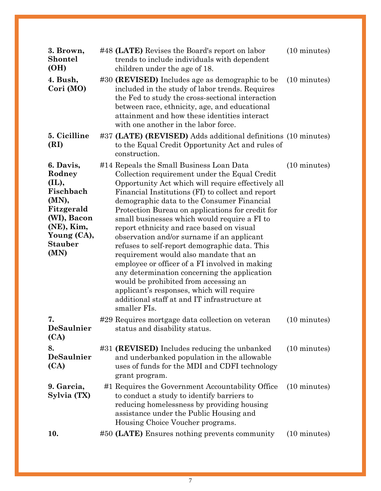| 3. Brown,<br><b>Shontel</b><br>(OH)                                                                                                    | #48 (LATE) Revises the Board's report on labor<br>trends to include individuals with dependent<br>children under the age of 18.                                                                                                                                                                                                                                                                                                                                                                                                                                                                                                                                                                                                                                                                      | $(10 \text{ minutes})$ |
|----------------------------------------------------------------------------------------------------------------------------------------|------------------------------------------------------------------------------------------------------------------------------------------------------------------------------------------------------------------------------------------------------------------------------------------------------------------------------------------------------------------------------------------------------------------------------------------------------------------------------------------------------------------------------------------------------------------------------------------------------------------------------------------------------------------------------------------------------------------------------------------------------------------------------------------------------|------------------------|
| 4. Bush,<br>Cori (MO)                                                                                                                  | #30 (REVISED) Includes age as demographic to be<br>included in the study of labor trends. Requires<br>the Fed to study the cross-sectional interaction<br>between race, ethnicity, age, and educational<br>attainment and how these identities interact<br>with one another in the labor force.                                                                                                                                                                                                                                                                                                                                                                                                                                                                                                      | $(10 \text{ minutes})$ |
| 5. Cicilline<br>(RI)                                                                                                                   | #37 (LATE) (REVISED) Adds additional definitions (10 minutes)<br>to the Equal Credit Opportunity Act and rules of<br>construction.                                                                                                                                                                                                                                                                                                                                                                                                                                                                                                                                                                                                                                                                   |                        |
| 6. Davis,<br>Rodney<br>(IL),<br>Fischbach<br>(MN),<br>Fitzgerald<br>(WI), Bacon<br>(NE), Kim,<br>Young (CA),<br><b>Stauber</b><br>(MN) | #14 Repeals the Small Business Loan Data<br>Collection requirement under the Equal Credit<br>Opportunity Act which will require effectively all<br>Financial Institutions (FI) to collect and report<br>demographic data to the Consumer Financial<br>Protection Bureau on applications for credit for<br>small businesses which would require a FI to<br>report ethnicity and race based on visual<br>observation and/or surname if an applicant<br>refuses to self-report demographic data. This<br>requirement would also mandate that an<br>employee or officer of a FI involved in making<br>any determination concerning the application<br>would be prohibited from accessing an<br>applicant's responses, which will require<br>additional staff at and IT infrastructure at<br>smaller FIs. | $(10 \text{ minutes})$ |
| 7.<br>DeSaulnier<br>(CA)                                                                                                               | #29 Requires mortgage data collection on veteran<br>status and disability status.                                                                                                                                                                                                                                                                                                                                                                                                                                                                                                                                                                                                                                                                                                                    | $(10 \text{ minutes})$ |
| 8.<br>DeSaulnier<br>(CA)                                                                                                               | #31 (REVISED) Includes reducing the unbanked<br>and underbanked population in the allowable<br>uses of funds for the MDI and CDFI technology<br>grant program.                                                                                                                                                                                                                                                                                                                                                                                                                                                                                                                                                                                                                                       | $(10 \text{ minutes})$ |
| 9. Garcia,<br>Sylvia (TX)                                                                                                              | #1 Requires the Government Accountability Office<br>to conduct a study to identify barriers to<br>reducing homelessness by providing housing<br>assistance under the Public Housing and<br>Housing Choice Voucher programs.                                                                                                                                                                                                                                                                                                                                                                                                                                                                                                                                                                          | $(10 \text{ minutes})$ |
| 10.                                                                                                                                    | #50 (LATE) Ensures nothing prevents community                                                                                                                                                                                                                                                                                                                                                                                                                                                                                                                                                                                                                                                                                                                                                        | $(10 \text{ minutes})$ |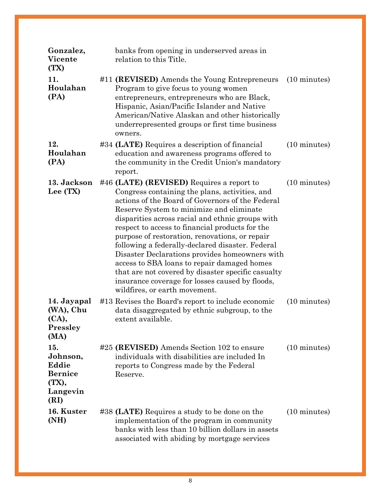| Gonzalez,<br><b>Vicente</b><br>(TX)                                     | banks from opening in underserved areas in<br>relation to this Title.                                                                                                                                                                                                                                                                                                                                                                                                                                                                                                                                                                               |                        |
|-------------------------------------------------------------------------|-----------------------------------------------------------------------------------------------------------------------------------------------------------------------------------------------------------------------------------------------------------------------------------------------------------------------------------------------------------------------------------------------------------------------------------------------------------------------------------------------------------------------------------------------------------------------------------------------------------------------------------------------------|------------------------|
| 11.<br>Houlahan<br>(PA)                                                 | #11 (REVISED) Amends the Young Entrepreneurs<br>Program to give focus to young women<br>entrepreneurs, entrepreneurs who are Black,<br>Hispanic, Asian/Pacific Islander and Native<br>American/Native Alaskan and other historically<br>underrepresented groups or first time business<br>owners.                                                                                                                                                                                                                                                                                                                                                   | $(10 \text{ minutes})$ |
| 12.<br>Houlahan<br>(PA)                                                 | #34 (LATE) Requires a description of financial<br>education and awareness programs offered to<br>the community in the Credit Union's mandatory<br>report.                                                                                                                                                                                                                                                                                                                                                                                                                                                                                           | $(10 \text{ minutes})$ |
| 13. Jackson<br>Lee (TX)                                                 | #46 (LATE) (REVISED) Requires a report to<br>Congress containing the plans, activities, and<br>actions of the Board of Governors of the Federal<br>Reserve System to minimize and eliminate<br>disparities across racial and ethnic groups with<br>respect to access to financial products for the<br>purpose of restoration, renovations, or repair<br>following a federally-declared disaster. Federal<br>Disaster Declarations provides homeowners with<br>access to SBA loans to repair damaged homes<br>that are not covered by disaster specific casualty<br>insurance coverage for losses caused by floods,<br>wildfires, or earth movement. | $(10 \text{ minutes})$ |
| 14. Jayapal<br>(WA), Chu<br>(CA),<br><b>Pressley</b><br>(MA)            | #13 Revises the Board's report to include economic<br>data disaggregated by ethnic subgroup, to the<br>extent available.                                                                                                                                                                                                                                                                                                                                                                                                                                                                                                                            | $(10 \text{ minutes})$ |
| 15.<br>Johnson,<br>Eddie<br><b>Bernice</b><br>(TX),<br>Langevin<br>(RI) | #25 (REVISED) Amends Section 102 to ensure<br>individuals with disabilities are included In<br>reports to Congress made by the Federal<br>Reserve.                                                                                                                                                                                                                                                                                                                                                                                                                                                                                                  | $(10 \text{ minutes})$ |
| 16. Kuster<br>(NH)                                                      | #38 (LATE) Requires a study to be done on the<br>implementation of the program in community<br>banks with less than 10 billion dollars in assets<br>associated with abiding by mortgage services                                                                                                                                                                                                                                                                                                                                                                                                                                                    | $(10 \text{ minutes})$ |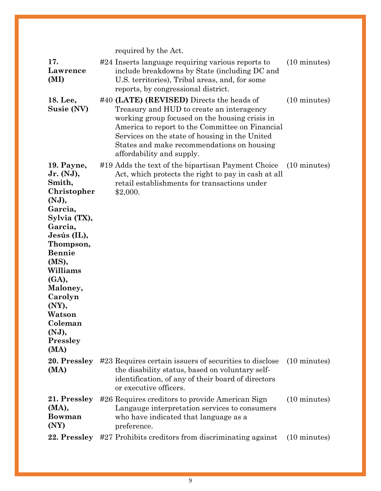|                                                                                                                                                                                                                                                              | required by the Act.                                                                                                                                                                                                                                                                                                     |                        |
|--------------------------------------------------------------------------------------------------------------------------------------------------------------------------------------------------------------------------------------------------------------|--------------------------------------------------------------------------------------------------------------------------------------------------------------------------------------------------------------------------------------------------------------------------------------------------------------------------|------------------------|
| 17.<br>Lawrence<br>(MI)                                                                                                                                                                                                                                      | #24 Inserts language requiring various reports to<br>include breakdowns by State (including DC and<br>U.S. territories), Tribal areas, and, for some<br>reports, by congressional district.                                                                                                                              | $(10 \text{ minutes})$ |
| 18. Lee,<br>Susie (NV)                                                                                                                                                                                                                                       | #40 (LATE) (REVISED) Directs the heads of<br>Treasury and HUD to create an interagency<br>working group focused on the housing crisis in<br>America to report to the Committee on Financial<br>Services on the state of housing in the United<br>States and make recommendations on housing<br>affordability and supply. | $(10 \text{ minutes})$ |
| 19. Payne,<br>Jr. (NJ),<br>Smith,<br>Christopher<br>(NJ),<br>Garcia,<br>Sylvia (TX),<br>Garcia,<br>Jesús (IL),<br>Thompson,<br><b>Bennie</b><br>(MS),<br>Williams<br>(GA),<br>Maloney,<br>Carolyn<br>(NY),<br>Watson<br>Coleman<br>(NJ),<br>Pressley<br>(MA) | #19 Adds the text of the bipartisan Payment Choice<br>Act, which protects the right to pay in cash at all<br>retail establishments for transactions under<br>\$2,000.                                                                                                                                                    | $(10 \text{ minutes})$ |
| 20. Pressley<br>(MA)                                                                                                                                                                                                                                         | #23 Requires certain issuers of securities to disclose<br>the disability status, based on voluntary self-<br>identification, of any of their board of directors<br>or executive officers.                                                                                                                                | $(10 \text{ minutes})$ |
| 21. Pressley<br>(MA),<br><b>Bowman</b><br>(NY)                                                                                                                                                                                                               | #26 Requires creditors to provide American Sign<br>Langauge interpretation services to consumers<br>who have indicated that language as a<br>preference.                                                                                                                                                                 | $(10 \text{ minutes})$ |
| 22. Pressley                                                                                                                                                                                                                                                 | #27 Prohibits creditors from discriminating against                                                                                                                                                                                                                                                                      | $(10 \text{ minutes})$ |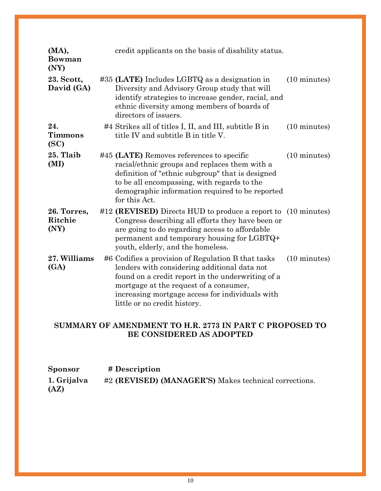| (MA),<br><b>Bowman</b><br>(NY) | credit applicants on the basis of disability status.                                                                                                                                                                                                                                 |                        |
|--------------------------------|--------------------------------------------------------------------------------------------------------------------------------------------------------------------------------------------------------------------------------------------------------------------------------------|------------------------|
| 23. Scott,<br>David (GA)       | $\#35$ (LATE) Includes LGBTQ as a designation in<br>Diversity and Advisory Group study that will<br>identify strategies to increase gender, racial, and<br>ethnic diversity among members of boards of<br>directors of issuers.                                                      | (10 minutes)           |
| 24.<br><b>Timmons</b><br>(SC)  | #4 Strikes all of titles I, II, and III, subtitle B in<br>title IV and subtitle B in title V.                                                                                                                                                                                        | $(10 \text{ minutes})$ |
| 25. Tlaib<br>(MI)              | #45 (LATE) Removes references to specific<br>racial/ethnic groups and replaces them with a<br>definition of "ethnic subgroup" that is designed<br>to be all encompassing, with regards to the<br>demographic information required to be reported<br>for this Act.                    | $(10 \text{ minutes})$ |
| 26. Torres,<br>Ritchie<br>(NY) | #12 (REVISED) Directs HUD to produce a report to (10 minutes)<br>Congress describing all efforts they have been or<br>are going to do regarding access to affordable<br>permanent and temporary housing for LGBTQ+<br>youth, elderly, and the homeless.                              |                        |
| 27. Williams<br>(GA)           | #6 Codifies a provision of Regulation B that tasks<br>lenders with considering additional data not<br>found on a credit report in the underwriting of a<br>mortgage at the request of a consumer,<br>increasing mortgage access for individuals with<br>little or no credit history. | $(10 \text{ minutes})$ |

# **SUMMARY OF AMENDMENT TO H.R. 2773 IN PART C PROPOSED TO BE CONSIDERED AS ADOPTED**

| <b>Sponsor</b>      | # Description                                         |
|---------------------|-------------------------------------------------------|
| 1. Grijalva<br>(AZ) | #2 (REVISED) (MANAGER'S) Makes technical corrections. |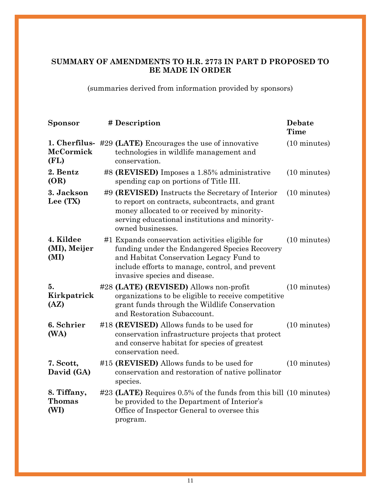## **SUMMARY OF AMENDMENTS TO H.R. 2773 IN PART D PROPOSED TO BE MADE IN ORDER**

(summaries derived from information provided by sponsors)

| <b>Sponsor</b>                    | # Description                                                                                                                                                                                                                   | <b>Debate</b><br>Time  |
|-----------------------------------|---------------------------------------------------------------------------------------------------------------------------------------------------------------------------------------------------------------------------------|------------------------|
| McCormick<br>(FL)                 | 1. Cherfilus- #29 (LATE) Encourages the use of innovative<br>technologies in wildlife management and<br>conservation.                                                                                                           | (10 minutes)           |
| 2. Bentz<br>(OR)                  | #8 (REVISED) Imposes a 1.85% administrative<br>spending cap on portions of Title III.                                                                                                                                           | $(10 \text{ minutes})$ |
| 3. Jackson<br>Lee (TX)            | #9 (REVISED) Instructs the Secretary of Interior<br>to report on contracts, subcontracts, and grant<br>money allocated to or received by minority-<br>serving educational institutions and minority-<br>owned businesses.       | $(10 \text{ minutes})$ |
| 4. Kildee<br>(MI), Meijer<br>(MI) | #1 Expands conservation activities eligible for<br>funding under the Endangered Species Recovery<br>and Habitat Conservation Legacy Fund to<br>include efforts to manage, control, and prevent<br>invasive species and disease. | $(10 \text{ minutes})$ |
| 5.<br>Kirkpatrick<br>(AZ)         | #28 (LATE) (REVISED) Allows non-profit<br>organizations to be eligible to receive competitive<br>grant funds through the Wildlife Conservation<br>and Restoration Subaccount.                                                   | $(10 \text{ minutes})$ |
| 6. Schrier<br>(WA)                | #18 (REVISED) Allows funds to be used for<br>conservation infrastructure projects that protect<br>and conserve habitat for species of greatest<br>conservation need.                                                            | $(10 \text{ minutes})$ |
| 7. Scott,<br>David (GA)           | #15 (REVISED) Allows funds to be used for<br>conservation and restoration of native pollinator<br>species.                                                                                                                      | $(10 \text{ minutes})$ |
| 8. Tiffany,<br>Thomas<br>(WI)     | #23 (LATE) Requires 0.5% of the funds from this bill (10 minutes)<br>be provided to the Department of Interior's<br>Office of Inspector General to oversee this<br>program.                                                     |                        |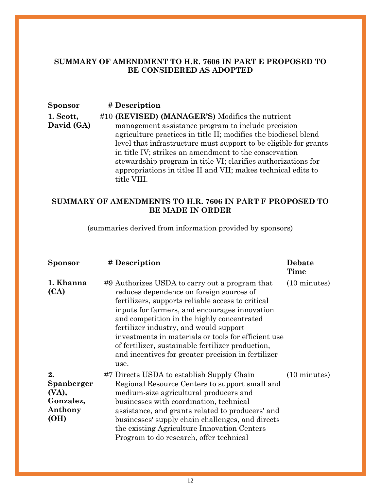### **SUMMARY OF AMENDMENT TO H.R. 7606 IN PART E PROPOSED TO BE CONSIDERED AS ADOPTED**

| <b>Sponsor</b> | # Description |
|----------------|---------------|
|----------------|---------------|

**[1. Scott,](https://amendments-rules.house.gov/amendments/RCP117-50_MGR_01_xml220613134317900.pdf)  [David \(GA\)](https://amendments-rules.house.gov/amendments/RCP117-50_MGR_01_xml220613134317900.pdf)** #10 **(REVISED) (MANAGER'S)** Modifies the nutrient management assistance program to include precision agriculture practices in title II; modifies the biodiesel blend level that infrastructure must support to be eligible for grants in title IV; strikes an amendment to the conservation stewardship program in title VI; clarifies authorizations for appropriations in titles II and VII; makes technical edits to title VIII.

## **SUMMARY OF AMENDMENTS TO H.R. 7606 IN PART F PROPOSED TO BE MADE IN ORDER**

(summaries derived from information provided by sponsors)

| Sponsor                                                   | # Description                                                                                                                                                                                                                                                                                                                                                                                                                                                      | Debate<br>Time         |
|-----------------------------------------------------------|--------------------------------------------------------------------------------------------------------------------------------------------------------------------------------------------------------------------------------------------------------------------------------------------------------------------------------------------------------------------------------------------------------------------------------------------------------------------|------------------------|
| 1. Khanna<br>(CA)                                         | #9 Authorizes USDA to carry out a program that<br>reduces dependence on foreign sources of<br>fertilizers, supports reliable access to critical<br>inputs for farmers, and encourages innovation<br>and competition in the highly concentrated<br>fertilizer industry, and would support<br>investments in materials or tools for efficient use<br>of fertilizer, sustainable fertilizer production,<br>and incentives for greater precision in fertilizer<br>use. | $(10 \text{ minutes})$ |
| 2.<br>Spanberger<br>(VA),<br>Gonzalez,<br>Anthony<br>(OH) | #7 Directs USDA to establish Supply Chain<br>Regional Resource Centers to support small and<br>medium-size agricultural producers and<br>businesses with coordination, technical<br>assistance, and grants related to producers' and<br>businesses' supply chain challenges, and directs<br>the existing Agriculture Innovation Centers<br>Program to do research, offer technical                                                                                 | $(10 \text{ minutes})$ |